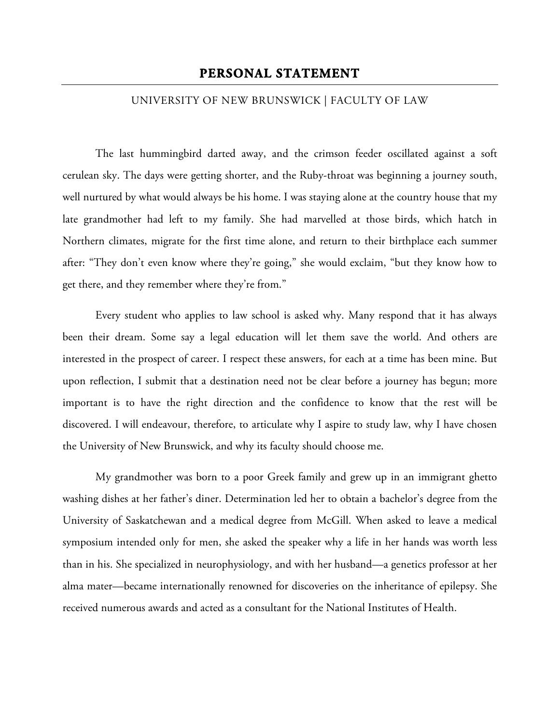## UNIVERSITY OF NEW BRUNSWICK | FACULTY OF LAW

The last hummingbird darted away, and the crimson feeder oscillated against a soft cerulean sky. The days were getting shorter, and the Ruby-throat was beginning a journey south, well nurtured by what would always be his home. I was staying alone at the country house that my late grandmother had left to my family. She had marvelled at those birds, which hatch in Northern climates, migrate for the first time alone, and return to their birthplace each summer after: "They don't even know where they're going," she would exclaim, "but they know how to get there, and they remember where they're from."

Every student who applies to law school is asked why. Many respond that it has always been their dream. Some say a legal education will let them save the world. And others are interested in the prospect of career. I respect these answers, for each at a time has been mine. But upon reflection, I submit that a destination need not be clear before a journey has begun; more important is to have the right direction and the confidence to know that the rest will be discovered. I will endeavour, therefore, to articulate why I aspire to study law, why I have chosen the University of New Brunswick, and why its faculty should choose me.

My grandmother was born to a poor Greek family and grew up in an immigrant ghetto washing dishes at her father's diner. Determination led her to obtain a bachelor's degree from the University of Saskatchewan and a medical degree from McGill. When asked to leave a medical symposium intended only for men, she asked the speaker why a life in her hands was worth less than in his. She specialized in neurophysiology, and with her husband—a genetics professor at her alma mater—became internationally renowned for discoveries on the inheritance of epilepsy. She received numerous awards and acted as a consultant for the National Institutes of Health.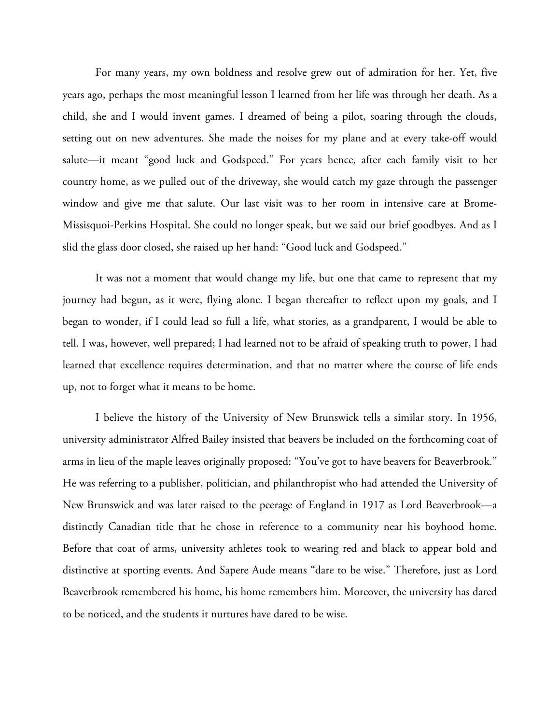For many years, my own boldness and resolve grew out of admiration for her. Yet, five years ago, perhaps the most meaningful lesson I learned from her life was through her death. As a child, she and I would invent games. I dreamed of being a pilot, soaring through the clouds, setting out on new adventures. She made the noises for my plane and at every take-off would salute—it meant "good luck and Godspeed." For years hence, after each family visit to her country home, as we pulled out of the driveway, she would catch my gaze through the passenger window and give me that salute. Our last visit was to her room in intensive care at Brome- Missisquoi-Perkins Hospital. She could no longer speak, but we said our brief goodbyes. And as I slid the glass door closed, she raised up her hand: "Good luck and Godspeed."

It was not a moment that would change my life, but one that came to represent that my journey had begun, as it were, flying alone. I began thereafter to reflect upon my goals, and I began to wonder, if I could lead so full a life, what stories, as a grandparent, I would be able to tell. I was, however, well prepared; I had learned not to be afraid of speaking truth to power, I had learned that excellence requires determination, and that no matter where the course of life ends up, not to forget what it means to be home.

I believe the history of the University of New Brunswick tells a similar story. In 1956, university administrator Alfred Bailey insisted that beavers be included on the forthcoming coat of arms in lieu of the maple leaves originally proposed: "You've got to have beavers for Beaverbrook." He was referring to a publisher, politician, and philanthropist who had attended the University of New Brunswick and was later raised to the peerage of England in 1917 as Lord Beaverbrook—a distinctly Canadian title that he chose in reference to a community near his boyhood home. Before that coat of arms, university athletes took to wearing red and black to appear bold and distinctive at sporting events. And Sapere Aude means "dare to be wise." Therefore, just as Lord Beaverbrook remembered his home, his home remembers him. Moreover, the university has dared to be noticed, and the students it nurtures have dared to be wise.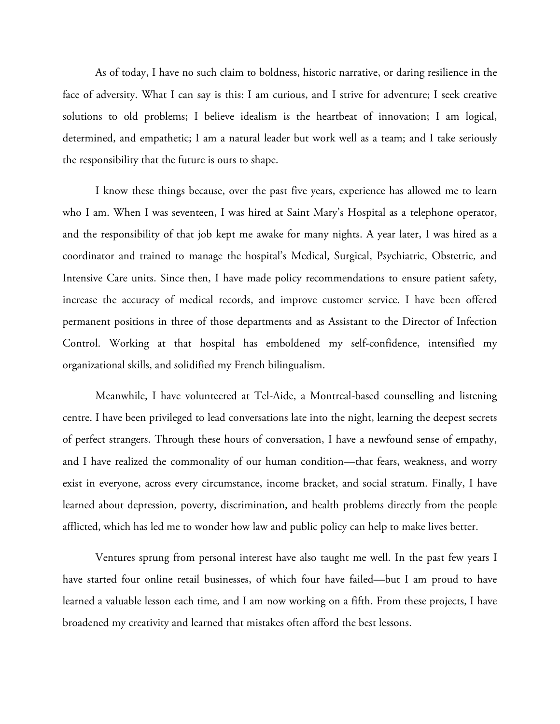As of today, I have no such claim to boldness, historic narrative, or daring resilience in the face of adversity. What I can say is this: I am curious, and I strive for adventure; I seek creative solutions to old problems; I believe idealism is the heartbeat of innovation; I am logical, determined, and empathetic; I am a natural leader but work well as a team; and I take seriously the responsibility that the future is ours to shape.

I know these things because, over the past five years, experience has allowed me to learn who I am. When I was seventeen, I was hired at Saint Mary's Hospital as a telephone operator, and the responsibility of that job kept me awake for many nights. A year later, I was hired as a coordinator and trained to manage the hospital's Medical, Surgical, Psychiatric, Obstetric, and Intensive Care units. Since then, I have made policy recommendations to ensure patient safety, increase the accuracy of medical records, and improve customer service. I have been offered permanent positions in three of those departments and as Assistant to the Director of Infection Control. Working at that hospital has emboldened my self-confidence, intensified my organizational skills, and solidified my French bilingualism.

Meanwhile, I have volunteered at Tel-Aide, a Montreal-based counselling and listening centre. I have been privileged to lead conversations late into the night, learning the deepest secrets of perfect strangers. Through these hours of conversation, I have a newfound sense of empathy, and I have realized the commonality of our human condition—that fears, weakness, and worry exist in everyone, across every circumstance, income bracket, and social stratum. Finally, I have learned about depression, poverty, discrimination, and health problems directly from the people afflicted, which has led me to wonder how law and public policy can help to make lives better.

Ventures sprung from personal interest have also taught me well. In the past few years I have started four online retail businesses, of which four have failed—but I am proud to have learned a valuable lesson each time, and I am now working on a fifth. From these projects, I have broadened my creativity and learned that mistakes often afford the best lessons.